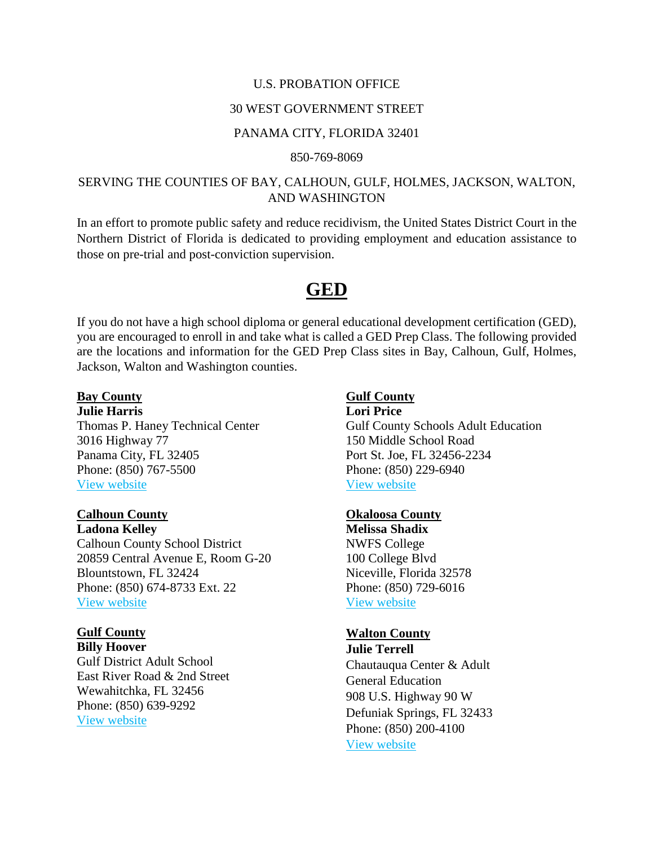### U.S. PROBATION OFFICE

## 30 WEST GOVERNMENT STREET

### PANAMA CITY, FLORIDA 32401

#### 850-769-8069

## SERVING THE COUNTIES OF BAY, CALHOUN, GULF, HOLMES, JACKSON, WALTON, AND WASHINGTON

In an effort to promote public safety and reduce recidivism, the United States District Court in the Northern District of Florida is dedicated to providing employment and education assistance to those on pre-trial and post-conviction supervision.

# **GED**

If you do not have a high school diploma or general educational development certification (GED), you are encouraged to enroll in and take what is called a GED Prep Class. The following provided are the locations and information for the GED Prep Class sites in Bay, Calhoun, Gulf, Holmes, Jackson, Walton and Washington counties.

## **Bay County**

**Julie Harris** Thomas P. Haney Technical Center 3016 Highway 77 Panama City, FL 32405 Phone: (850) 767-5500 [View website](http://www.bayschools.com/htc/Programs/AdultEducation.aspx)

### **Calhoun County**

**Ladona Kelley** Calhoun County School District 20859 Central Avenue E, Room G-20 Blountstown, FL 32424 Phone: (850) 674-8733 Ext. 22 [View website](http://calhounadult.org/)

## **Gulf County**

**Billy Hoover** Gulf District Adult School East River Road & 2nd Street Wewahitchka, FL 32456 Phone: (850) 639-9292 [View website](http://gulfdistrictadultschool.com/)

## **Gulf County**

**Lori Price** Gulf County Schools Adult Education 150 Middle School Road Port St. Joe, FL 32456-2234 Phone: (850) 229-6940 [View website](http://gulfdistrictadultschool.com/)

### **Okaloosa County**

**Melissa Shadix** NWFS College 100 College Blvd Niceville, Florida 32578 Phone: (850) 729-6016 [View website](http://www.nwfsc.edu/Academics/Departments/AdultEd/)

### **Walton County**

**Julie Terrell** Chautauqua Center & Adult General Education 908 U.S. Highway 90 W Defuniak Springs, FL 32433 Phone: (850) 200-4100 [View website](http://www.nwfsc.edu/Academics/Departments/AdultEd/)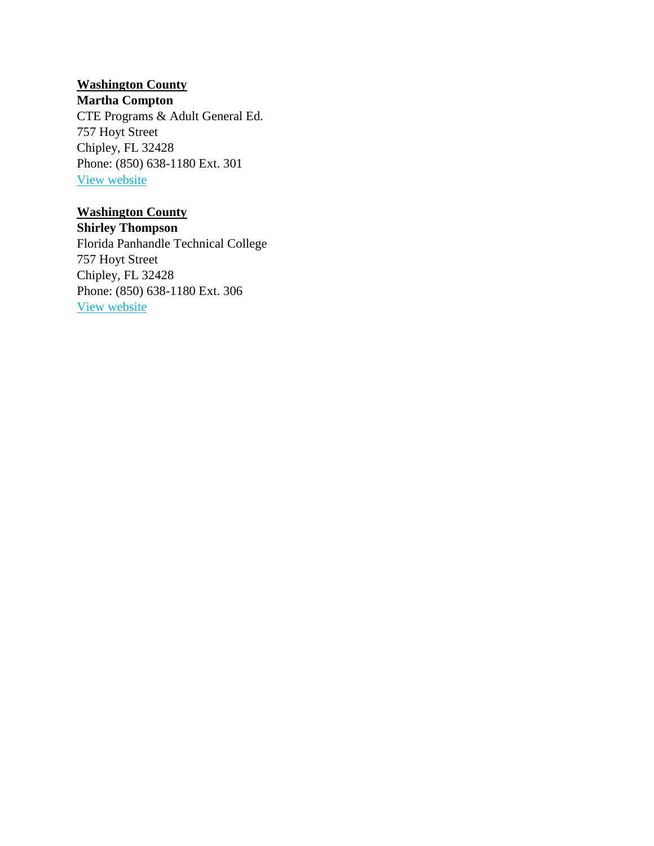# **Washington County**

**Martha Compton**

CTE Programs & Adult General Ed. 757 Hoyt Street Chipley, FL 32428 Phone: (850) 638-1180 Ext. 301 [View website](http://www.fptc.edu/?DivisionID=13427&ToggleSideNav=ShowAll)

# **Washington County**

**Shirley Thompson** Florida Panhandle Technical College 757 Hoyt Street Chipley, FL 32428 Phone: (850) 638-1180 Ext. 306 [View website](http://www.fptc.edu/?DivisionID=13427&ToggleSideNav=ShowAll)